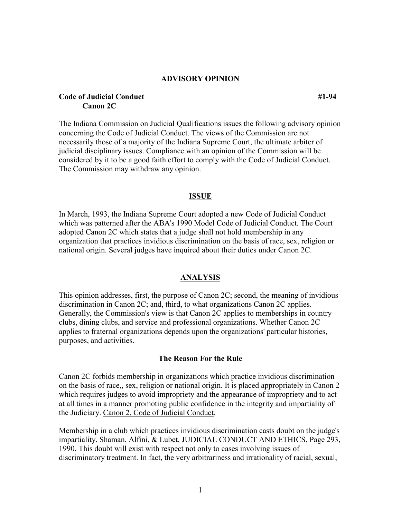#### **ADVISORY OPINION**

## **Code of Judicial Conduct** #1-94 *#1* **Canon 2C**

The Indiana Commission on Judicial Qualifications issues the following advisory opinion concerning the Code of Judicial Conduct. The views of the Commission are not necessarily those of a majority of the Indiana Supreme Court, the ultimate arbiter of judicial disciplinary issues. Compliance with an opinion of the Commission will be considered by it to be a good faith effort to comply with the Code of Judicial Conduct. The Commission may withdraw any opinion.

### **ISSUE**

In March, 1993, the Indiana Supreme Court adopted a new Code of Judicial Conduct which was patterned after the ABA's 1990 Model Code of Judicial Conduct. The Court adopted Canon 2C which states that a judge shall not hold membership in any organization that practices invidious discrimination on the basis of race, sex, religion or national origin. Several judges have inquired about their duties under Canon 2C.

### **ANALYSIS**

This opinion addresses, first, the purpose of Canon 2C; second, the meaning of invidious discrimination in Canon 2C; and, third, to what organizations Canon 2C applies. Generally, the Commission's view is that Canon 2C applies to memberships in country clubs, dining clubs, and service and professional organizations. Whether Canon 2C applies to fraternal organizations depends upon the organizations' particular histories, purposes, and activities.

#### **The Reason For the Rule**

Canon 2C forbids membership in organizations which practice invidious discrimination on the basis of race,, sex, religion or national origin. It is placed appropriately in Canon 2 which requires judges to avoid impropriety and the appearance of impropriety and to act at all times in a manner promoting public confidence in the integrity and impartiality of the Judiciary. Canon 2, Code of Judicial Conduct.

Membership in a club which practices invidious discrimination casts doubt on the judge's impartiality. Shaman, Alfini, & Lubet, JUDICIAL CONDUCT AND ETHICS, Page 293, 1990. This doubt will exist with respect not only to cases involving issues of discriminatory treatment. In fact, the very arbitrariness and irrationality of racial, sexual,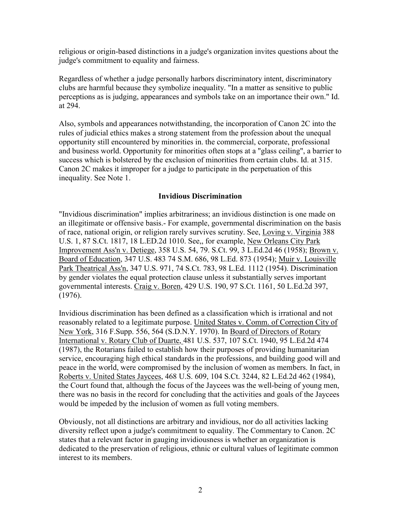religious or origin-based distinctions in a judge's organization invites questions about the judge's commitment to equality and fairness.

Regardless of whether a judge personally harbors discriminatory intent, discriminatory clubs are harmful because they symbolize inequality. "In a matter as sensitive to public perceptions as is judging, appearances and symbols take on an importance their own." Id. at 294.

Also, symbols and appearances notwithstanding, the incorporation of Canon 2C into the rules of judicial ethics makes a strong statement from the profession about the unequal opportunity still encountered by minorities in. the commercial, corporate, professional and business world. Opportunity for minorities often stops at a "glass ceiling", a barrier to success which is bolstered by the exclusion of minorities from certain clubs. Id. at 315. Canon 2C makes it improper for a judge to participate in the perpetuation of this inequality. See Note 1.

# **Invidious Discrimination**

"Invidious discrimination" implies arbitrariness; an invidious distinction is one made on an illegitimate or offensive basis.- For example, governmental discrimination on the basis of race, national origin, or religion rarely survives scrutiny. See, Loving v. Virginia 388 U.S. 1, 87 S.Ct. 1817, 18 L.ED.2d 1010. See,, for example, New Orleans City Park Improvement Ass'n v. Detiege, 358 U.S. 54, 79. S.Ct. 99, 3 L.Ed.2d 46 (1958); Brown v. Board of Education, 347 U.S. 483 74 S.M. 686, 98 L.Ed. 873 (1954); Muir v. Louisville Park Theatrical Ass'n, 347 U.S. 971, 74 S.Ct. 783, 98 L.Ed. 1112 (1954). Discrimination by gender violates the equal protection clause unless it substantially serves important governmental interests. Craig v. Boren, 429 U.S. 190, 97 S.Ct. 1161, 50 L.Ed.2d 397, (1976).

Invidious discrimination has been defined as a classification which is irrational and not reasonably related to a legitimate purpose. United States v. Comm. of Correction City of New York, 316 F.Supp. 556, 564 (S.D.N.Y. 1970). In Board of Directors of Rotary International v. Rotary Club of Duarte, 481 U.S. 537, 107 S.Ct. 1940, 95 L.Ed.2d 474 (1987), the Rotarians failed to establish how their purposes of providing humanitarian service, encouraging high ethical standards in the professions, and building good will and peace in the world, were compromised by the inclusion of women as members. In fact, in Roberts v. United States Jaycees, 468 U.S. 609, 104 S.Ct. 3244, 82 L.Ed.2d 462 (1984), the Court found that, although the focus of the Jaycees was the well-being of young men, there was no basis in the record for concluding that the activities and goals of the Jaycees would be impeded by the inclusion of women as full voting members.

Obviously, not all distinctions are arbitrary and invidious, nor do all activities lacking diversity reflect upon a judge's commitment to equality. The Commentary to Canon. 2C states that a relevant factor in gauging invidiousness is whether an organization is dedicated to the preservation of religious, ethnic or cultural values of legitimate common interest to its members.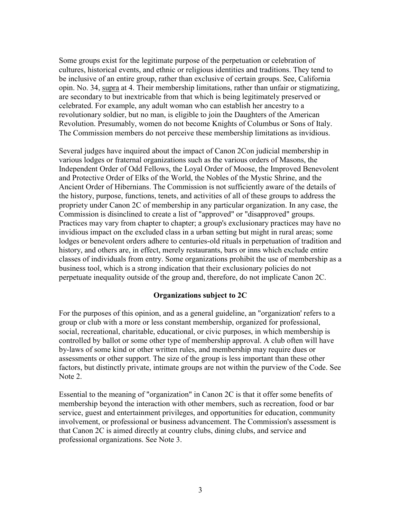Some groups exist for the legitimate purpose of the perpetuation or celebration of cultures, historical events, and ethnic or religious identities and traditions. They tend to be inclusive of an entire group, rather than exclusive of certain groups. See, California opin. No. 34, supra at 4. Their membership limitations, rather than unfair or stigmatizing, are secondary to but inextricable from that which is being legitimately preserved or celebrated. For example, any adult woman who can establish her ancestry to a revolutionary soldier, but no man, is eligible to join the Daughters of the American Revolution. Presumably, women do not become Knights of Columbus or Sons of Italy. The Commission members do not perceive these membership limitations as invidious.

Several judges have inquired about the impact of Canon 2Con judicial membership in various lodges or fraternal organizations such as the various orders of Masons, the Independent Order of Odd Fellows, the Loyal Order of Moose, the Improved Benevolent and Protective Order of Elks of the World, the Nobles of the Mystic Shrine, and the Ancient Order of Hibernians. The Commission is not sufficiently aware of the details of the history, purpose, functions, tenets, and activities of all of these groups to address the propriety under Canon 2C of membership in any particular organization. In any case, the Commission is disinclined to create a list of "approved" or "disapproved" groups. Practices may vary from chapter to chapter; a group's exclusionary practices may have no invidious impact on the excluded class in a urban setting but might in rural areas; some lodges or benevolent orders adhere to centuries-old rituals in perpetuation of tradition and history, and others are, in effect, merely restaurants, bars or inns which exclude entire classes of individuals from entry. Some organizations prohibit the use of membership as a business tool, which is a strong indication that their exclusionary policies do not perpetuate inequality outside of the group and, therefore, do not implicate Canon 2C.

## **Organizations subject to 2C**

For the purposes of this opinion, and as a general guideline, an "organization' refers to a group or club with a more or less constant membership, organized for professional, social, recreational, charitable, educational, or civic purposes, in which membership is controlled by ballot or some other type of membership approval. A club often will have by-laws of some kind or other written rules, and membership may require dues or assessments or other support. The size of the group is less important than these other factors, but distinctly private, intimate groups are not within the purview of the Code. See Note 2.

Essential to the meaning of "organization" in Canon 2C is that it offer some benefits of membership beyond the interaction with other members, such as recreation, food or bar service, guest and entertainment privileges, and opportunities for education, community involvement, or professional or business advancement. The Commission's assessment is that Canon 2C is aimed directly at country clubs, dining clubs, and service and professional organizations. See Note 3.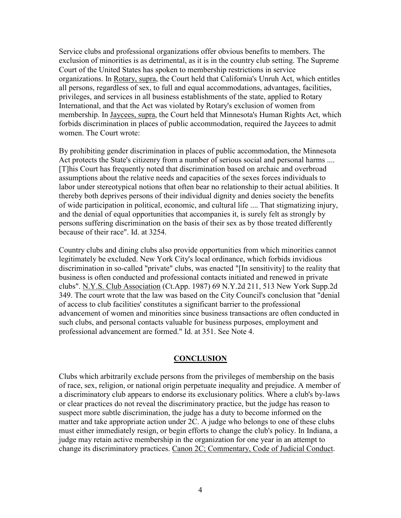Service clubs and professional organizations offer obvious benefits to members. The exclusion of minorities is as detrimental, as it is in the country club setting. The Supreme Court of the United States has spoken to membership restrictions in service organizations. In Rotary, supra, the Court held that California's Unruh Act, which entitles all persons, regardless of sex, to full and equal accommodations, advantages, facilities, privileges, and services in all business establishments of the state, applied to Rotary International, and that the Act was violated by Rotary's exclusion of women from membership. In Jaycees, supra, the Court held that Minnesota's Human Rights Act, which forbids discrimination in places of public accommodation, required the Jaycees to admit women. The Court wrote:

By prohibiting gender discrimination in places of public accommodation, the Minnesota Act protects the State's citizenry from a number of serious social and personal harms .... [T]his Court has frequently noted that discrimination based on archaic and overbroad assumptions about the relative needs and capacities of the sexes forces individuals to labor under stereotypical notions that often bear no relationship to their actual abilities. It thereby both deprives persons of their individual dignity and denies society the benefits of wide participation in political, economic, and cultural life .... That stigmatizing injury, and the denial of equal opportunities that accompanies it, is surely felt as strongly by persons suffering discrimination on the basis of their sex as by those treated differently because of their race". Id. at 3254.

Country clubs and dining clubs also provide opportunities from which minorities cannot legitimately be excluded. New York City's local ordinance, which forbids invidious discrimination in so-called "private" clubs, was enacted "[In sensitivity] to the reality that business is often conducted and professional contacts initiated and renewed in private clubs". N.Y.S. Club Association (Ct.App. 1987) 69 N.Y.2d 211, 513 New York Supp.2d 349. The court wrote that the law was based on the City Council's conclusion that "denial of access to club facilities' constitutes a significant barrier to the professional advancement of women and minorities since business transactions are often conducted in such clubs, and personal contacts valuable for business purposes, employment and professional advancement are formed." Id. at 351. See Note 4.

## **CONCLUSION**

Clubs which arbitrarily exclude persons from the privileges of membership on the basis of race, sex, religion, or national origin perpetuate inequality and prejudice. A member of a discriminatory club appears to endorse its exclusionary politics. Where a club's by-laws or clear practices do not reveal the discriminatory practice, but the judge has reason to suspect more subtle discrimination, the judge has a duty to become informed on the matter and take appropriate action under 2C. A judge who belongs to one of these clubs must either immediately resign, or begin efforts to change the club's policy. In Indiana, a judge may retain active membership in the organization for one year in an attempt to change its discriminatory practices. Canon 2C; Commentary, Code of Judicial Conduct.